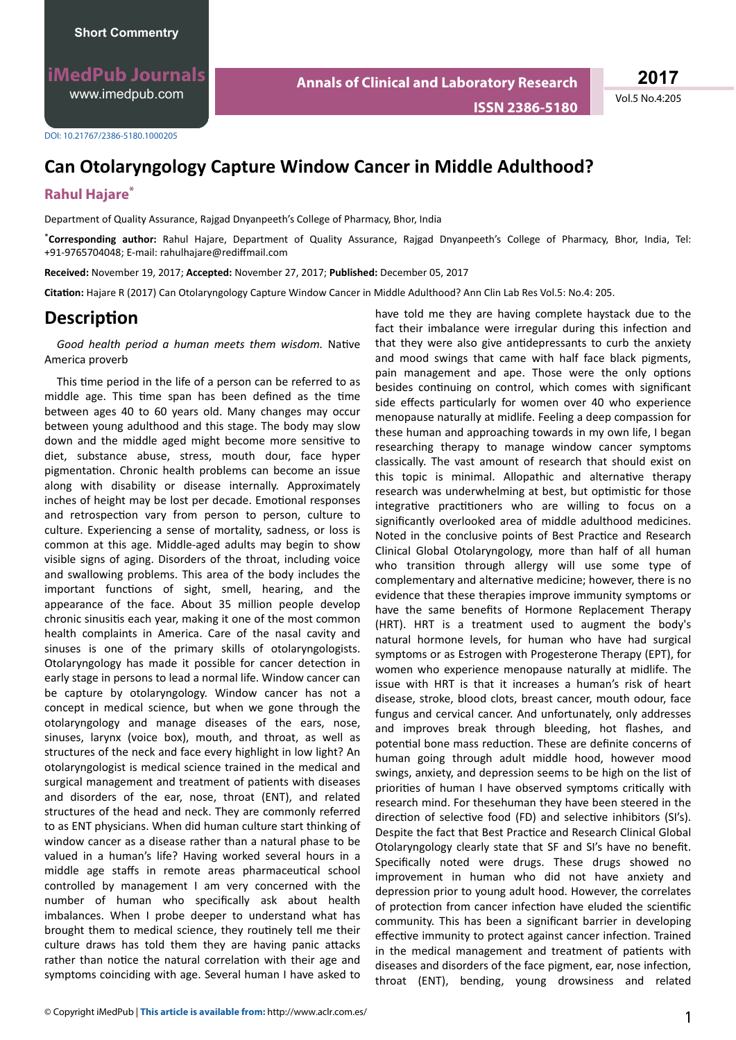**iMedPub Journals** [www.imedpub.com](http://www.imedpub.com/)

DOI: 10.21767/2386-5180.1000205

# **Can Otolaryngology Capture Window Cancer in Middle Adulthood?**

#### **Rahul Hajare\***

Department of Quality Assurance, Rajgad Dnyanpeeth's College of Pharmacy, Bhor, India

\***Corresponding author:** Rahul Hajare, Department of Quality Assurance, Rajgad Dnyanpeeth's College of Pharmacy, Bhor, India, Tel: +91-9765704048; E-mail: rahulhajare@rediffmail.com

**Annals of Clinical and Laboratory Research**

**Received:** November 19, 2017; **Accepted:** November 27, 2017; **Published:** December 05, 2017

Citation: Hajare R (2017) Can Otolaryngology Capture Window Cancer in Middle Adulthood? Ann Clin Lab Res Vol.5: No.4: 205.

#### **Description**

*Good health period a human meets them wisdom.* Native America proverb

This time period in the life of a person can be referred to as middle age. This time span has been defined as the time between ages 40 to 60 years old. Many changes may occur between young adulthood and this stage. The body may slow down and the middle aged might become more sensitive to diet, substance abuse, stress, mouth dour, face hyper pigmentation. Chronic health problems can become an issue along with disability or disease internally. Approximately inches of height may be lost per decade. Emotional responses and retrospection vary from person to person, culture to culture. Experiencing a sense of mortality, sadness, or loss is common at this age. Middle-aged adults may begin to show visible signs of aging. Disorders of the throat, including voice and swallowing problems. This area of the body includes the important functions of sight, smell, hearing, and the appearance of the face. About 35 million people develop chronic sinusitis each year, making it one of the most common health complaints in America. Care of the nasal cavity and sinuses is one of the primary skills of otolaryngologists. Otolaryngology has made it possible for cancer detection in early stage in persons to lead a normal life. Window cancer can be capture by otolaryngology. Window cancer has not a concept in medical science, but when we gone through the otolaryngology and manage diseases of the ears, nose, sinuses, larynx (voice box), mouth, and throat, as well as structures of the neck and face every highlight in low light? An otolaryngologist is medical science trained in the medical and surgical management and treatment of patients with diseases and disorders of the ear, nose, throat (ENT), and related structures of the head and neck. They are commonly referred to as ENT physicians. When did human culture start thinking of window cancer as a disease rather than a natural phase to be valued in a human's life? Having worked several hours in a middle age staffs in remote areas pharmaceutical school controlled by management I am very concerned with the number of human who specifically ask about health imbalances. When I probe deeper to understand what has brought them to medical science, they routinely tell me their culture draws has told them they are having panic attacks rather than notice the natural correlation with their age and symptoms coinciding with age. Several human I have asked to

fact their imbalance were irregular during this infection and that they were also give antidepressants to curb the anxiety and mood swings that came with half face black pigments, pain management and ape. Those were the only options besides continuing on control, which comes with significant side effects particularly for women over 40 who experience menopause naturally at midlife. Feeling a deep compassion for these human and approaching towards in my own life, I began researching therapy to manage window cancer symptoms classically. The vast amount of research that should exist on this topic is minimal. Allopathic and alternative therapy research was underwhelming at best, but optimistic for those integrative practitioners who are willing to focus on a significantly overlooked area of middle adulthood medicines. Noted in the conclusive points of Best Practice and Research Clinical Global Otolaryngology, more than half of all human who transition through allergy will use some type of complementary and alternative medicine; however, there is no evidence that these therapies improve immunity symptoms or have the same benefits of Hormone Replacement Therapy (HRT). HRT is a treatment used to augment the body's natural hormone levels, for human who have had surgical symptoms or as Estrogen with Progesterone Therapy (EPT), for women who experience menopause naturally at midlife. The issue with HRT is that it increases a human's risk of heart disease, stroke, blood clots, breast cancer, mouth odour, face fungus and cervical cancer. And unfortunately, only addresses and improves break through bleeding, hot flashes, and potential bone mass reduction. These are definite concerns of human going through adult middle hood, however mood swings, anxiety, and depression seems to be high on the list of priorities of human I have observed symptoms critically with research mind. For thesehuman they have been steered in the direction of selective food (FD) and selective inhibitors (SI's). Despite the fact that Best Practice and Research Clinical Global Otolaryngology clearly state that SF and SI's have no benefit. Specifically noted were drugs. These drugs showed no improvement in human who did not have anxiety and depression prior to young adult hood. However, the correlates of protection from cancer infection have eluded the scientific community. This has been a significant barrier in developing effective immunity to protect against cancer infection. Trained in the medical management and treatment of patients with diseases and disorders of the face pigment, ear, nose infection, throat (ENT), bending, young drowsiness and related

have told me they are having complete haystack due to the

**ISSN 2386-5180**

Vol.5 No.4:205 **2017**